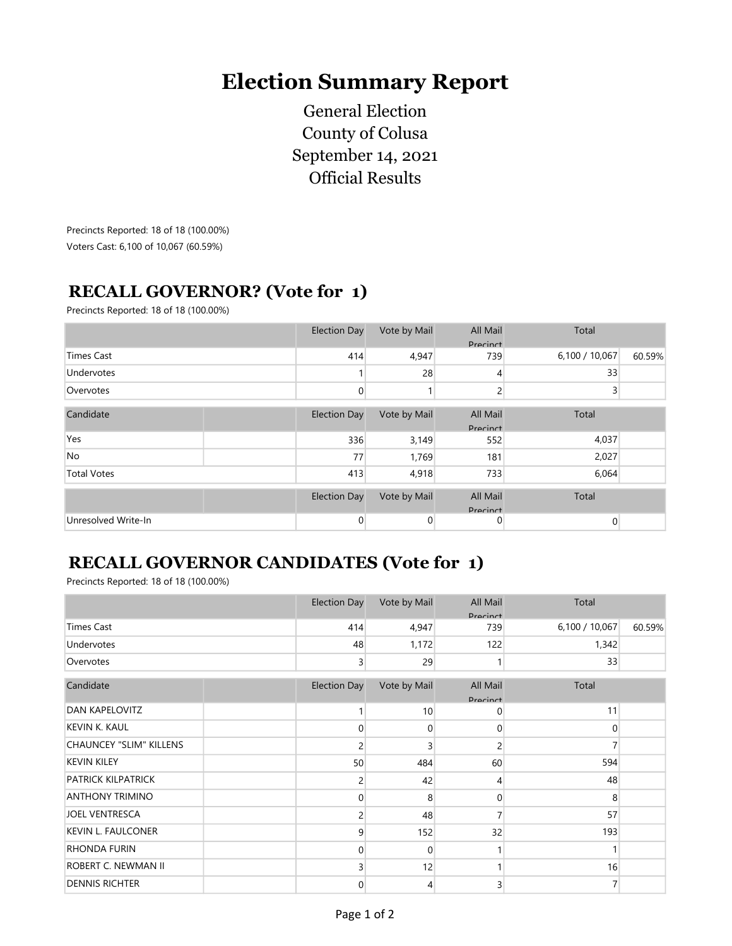## Election Summary Report

General Election County of Colusa September 14, 2021 Official Results

Precincts Reported: 18 of 18 (100.00%) Voters Cast: 6,100 of 10,067 (60.59%)

## RECALL GOVERNOR? (Vote for 1)

Precincts Reported: 18 of 18 (100.00%)

|                     |  | <b>Election Day</b> | Vote by Mail | All Mail<br><b>Pracinct</b> | Total          |        |
|---------------------|--|---------------------|--------------|-----------------------------|----------------|--------|
| <b>Times Cast</b>   |  | 414                 | 4,947        | 739                         | 6,100 / 10,067 | 60.59% |
| Undervotes          |  |                     | 28           | 4                           | 33             |        |
| Overvotes           |  | 0                   |              | 2                           | 3              |        |
| Candidate           |  | <b>Election Day</b> | Vote by Mail | All Mail<br><b>Pracinct</b> | Total          |        |
| Yes                 |  | 336                 | 3,149        | 552                         | 4,037          |        |
| No                  |  | 77                  | 1,769        | 181                         | 2,027          |        |
| <b>Total Votes</b>  |  | 413                 | 4,918        | 733                         | 6,064          |        |
|                     |  | <b>Election Day</b> | Vote by Mail | All Mail<br>Precinct        | Total          |        |
| Unresolved Write-In |  | $\mathbf{0}$        | 0            | 0                           | $\mathbf 0$    |        |

## RECALL GOVERNOR CANDIDATES (Vote for 1)

Precincts Reported: 18 of 18 (100.00%)

|                                | <b>Election Day</b> | Vote by Mail  | All Mail<br>Precinct        | Total          |        |
|--------------------------------|---------------------|---------------|-----------------------------|----------------|--------|
| <b>Times Cast</b>              | 414                 | 4,947         | 739                         | 6,100 / 10,067 | 60.59% |
| Undervotes                     | 48                  | 1,172         | 122                         | 1,342          |        |
| Overvotes                      |                     | 29<br>3       |                             | 33             |        |
| Candidate                      | <b>Election Day</b> | Vote by Mail  | All Mail<br><b>Pracinct</b> | Total          |        |
| <b>DAN KAPELOVITZ</b>          |                     | 10            | 0                           | 11             |        |
| <b>KEVIN K. KAUL</b>           |                     | 0<br>0        | $\overline{0}$              | $\mathbf{0}$   |        |
| <b>CHAUNCEY "SLIM" KILLENS</b> |                     | 3<br>2        | $\overline{c}$              |                |        |
| <b>KEVIN KILEY</b>             | 50                  | 484           | 60                          | 594            |        |
| <b>PATRICK KILPATRICK</b>      |                     | 42<br>2       | 4                           | 48             |        |
| <b>ANTHONY TRIMINO</b>         |                     | 8<br>0        | $\overline{0}$              | 8              |        |
| <b>JOEL VENTRESCA</b>          |                     | 48<br>2       | 7                           | 57             |        |
| <b>KEVIN L. FAULCONER</b>      |                     | 152<br>9      | 32                          | 193            |        |
| <b>RHONDA FURIN</b>            |                     | 0<br>0        |                             |                |        |
| ROBERT C. NEWMAN II            |                     | 12            | 1                           | 16             |        |
| <b>DENNIS RICHTER</b>          |                     | $\Omega$<br>4 | 3                           | 7              |        |